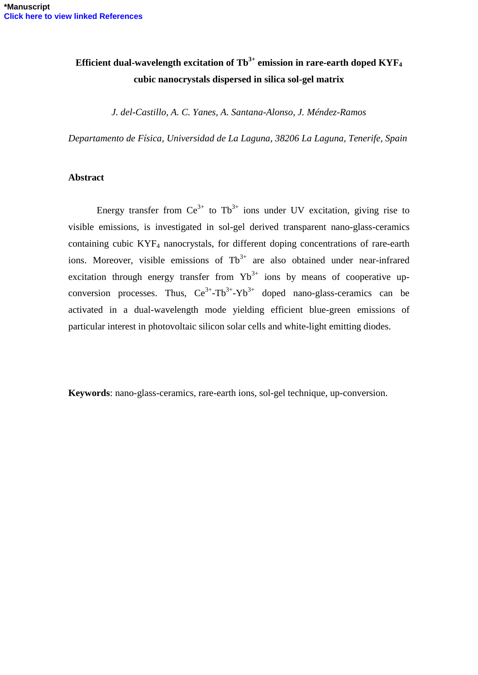# **Efficient dual-wavelength excitation of**  $\text{Th}^{3+}$  **emission in rare-earth doped KYF<sub>4</sub> cubic nanocrystals dispersed in silica sol-gel matrix**

*J. del-Castillo, A. C. Yanes, A. Santana-Alonso, J. Méndez-Ramos*

*Departamento de Física, Universidad de La Laguna, 38206 La Laguna, Tenerife, Spain*

#### **Abstract**

Energy transfer from  $Ce^{3+}$  to Tb<sup>3+</sup> ions under UV excitation, giving rise to visible emissions, is investigated in sol-gel derived transparent nano-glass-ceramics containing cubic KYF<sup>4</sup> nanocrystals, for different doping concentrations of rare-earth ions. Moreover, visible emissions of  $\text{fb}^{3+}$  are also obtained under near-infrared excitation through energy transfer from  $Yb^{3+}$  ions by means of cooperative upconversion processes. Thus,  $Ce^{3+}-Tb^{3+}-Yb^{3+}$  doped nano-glass-ceramics can be activated in a dual-wavelength mode yielding efficient blue-green emissions of particular interest in photovoltaic silicon solar cells and white-light emitting diodes.

**Keywords**: nano-glass-ceramics, rare-earth ions, sol-gel technique, up-conversion.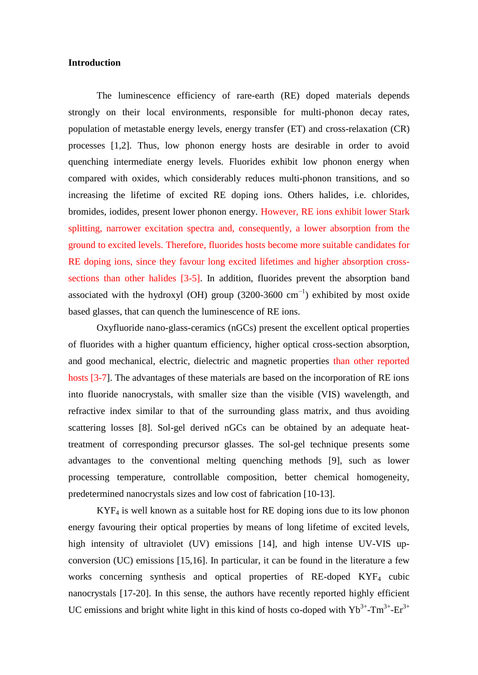## **Introduction**

The luminescence efficiency of rare-earth (RE) doped materials depends strongly on their local environments, responsible for multi-phonon decay rates, population of metastable energy levels, energy transfer (ET) and cross-relaxation (CR) processes [1,2]. Thus, low phonon energy hosts are desirable in order to avoid quenching intermediate energy levels. Fluorides exhibit low phonon energy when compared with oxides, which considerably reduces multi-phonon transitions, and so increasing the lifetime of excited RE doping ions. Others halides, i.e. chlorides, bromides, iodides, present lower phonon energy. However, RE ions exhibit lower Stark splitting, narrower excitation spectra and, consequently, a lower absorption from the ground to excited levels. Therefore, fluorides hosts become more suitable candidates for RE doping ions, since they favour long excited lifetimes and higher absorption crosssections than other halides [3-5]. In addition, fluorides prevent the absorption band associated with the hydroxyl (OH) group (3200-3600  $cm^{-1}$ ) exhibited by most oxide based glasses, that can quench the luminescence of RE ions.

Oxyfluoride nano-glass-ceramics (nGCs) present the excellent optical properties of fluorides with a higher quantum efficiency, higher optical cross-section absorption, and good mechanical, electric, dielectric and magnetic properties than other reported hosts [3-7]. The advantages of these materials are based on the incorporation of RE ions into fluoride nanocrystals, with smaller size than the visible (VIS) wavelength, and refractive index similar to that of the surrounding glass matrix, and thus avoiding scattering losses [8]. Sol-gel derived nGCs can be obtained by an adequate heattreatment of corresponding precursor glasses. The sol-gel technique presents some advantages to the conventional melting quenching methods [9], such as lower processing temperature, controllable composition, better chemical homogeneity, predetermined nanocrystals sizes and low cost of fabrication [10-13].

 $KYF<sub>4</sub>$  is well known as a suitable host for RE doping ions due to its low phonon energy favouring their optical properties by means of long lifetime of excited levels, high intensity of ultraviolet (UV) emissions [14], and high intense UV-VIS upconversion (UC) emissions [15,16]. In particular, it can be found in the literature a few works concerning synthesis and optical properties of RE-doped KYF<sub>4</sub> cubic nanocrystals [17-20]. In this sense, the authors have recently reported highly efficient UC emissions and bright white light in this kind of hosts co-doped with  $Yb^{3+}$ -Tm<sup>3+</sup>-Er<sup>3+</sup>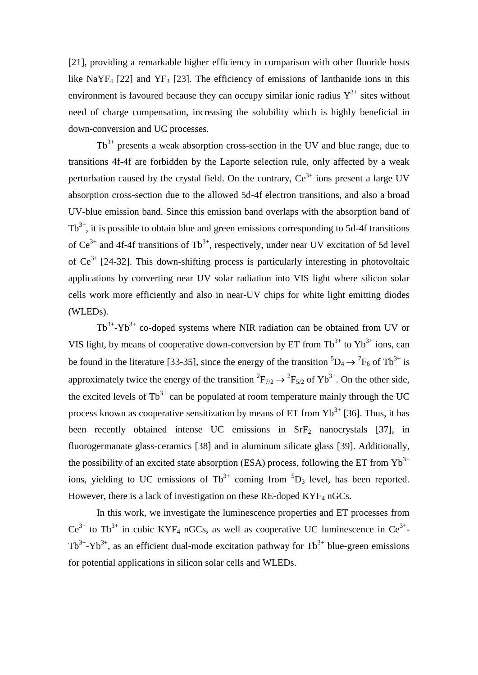[21], providing a remarkable higher efficiency in comparison with other fluoride hosts like NaYF<sub>4</sub> [22] and YF<sub>3</sub> [23]. The efficiency of emissions of lanthanide ions in this environment is favoured because they can occupy similar ionic radius  $Y^{3+}$  sites without need of charge compensation, increasing the solubility which is highly beneficial in down-conversion and UC processes.

 $Tb^{3+}$  presents a weak absorption cross-section in the UV and blue range, due to transitions 4f-4f are forbidden by the Laporte selection rule, only affected by a weak perturbation caused by the crystal field. On the contrary,  $Ce^{3+}$  ions present a large UV absorption cross-section due to the allowed 5d-4f electron transitions, and also a broad UV-blue emission band. Since this emission band overlaps with the absorption band of  $Tb^{3+}$ , it is possible to obtain blue and green emissions corresponding to 5d-4f transitions of  $Ce^{3+}$  and 4f-4f transitions of Tb<sup>3+</sup>, respectively, under near UV excitation of 5d level of  $Ce^{3+}$  [24-32]. This down-shifting process is particularly interesting in photovoltaic applications by converting near UV solar radiation into VIS light where silicon solar cells work more efficiently and also in near-UV chips for white light emitting diodes (WLEDs).

 $Tb^{3+}$ -Yb<sup>3+</sup> co-doped systems where NIR radiation can be obtained from UV or VIS light, by means of cooperative down-conversion by ET from  $Tb^{3+}$  to  $Yb^{3+}$  ions, can be found in the literature [33-35], since the energy of the transition  ${}^5D_4 \rightarrow {}^7F_6$  of Tb<sup>3+</sup> is approximately twice the energy of the transition  ${}^{2}F_{7/2} \rightarrow {}^{2}F_{5/2}$  of Yb<sup>3+</sup>. On the other side, the excited levels of  $Tb^{3+}$  can be populated at room temperature mainly through the UC process known as cooperative sensitization by means of ET from  $Yb^{3+}$  [36]. Thus, it has been recently obtained intense UC emissions in  $SrF<sub>2</sub>$  nanocrystals [37], in fluorogermanate glass-ceramics [38] and in aluminum silicate glass [39]. Additionally, the possibility of an excited state absorption (ESA) process, following the ET from  $Yb^{3+}$ ions, yielding to UC emissions of  $\text{Tb}^{3+}$  coming from  ${}^5\text{D}_3$  level, has been reported. However, there is a lack of investigation on these RE-doped  $KYF<sub>4</sub>$  nGCs.

In this work, we investigate the luminescence properties and ET processes from  $Ce^{3+}$  to Tb<sup>3+</sup> in cubic KYF<sub>4</sub> nGCs, as well as cooperative UC luminescence in  $Ce^{3+}$ - $Tb^{3+}$ -Yb<sup>3+</sup>, as an efficient dual-mode excitation pathway for  $Tb^{3+}$  blue-green emissions for potential applications in silicon solar cells and WLEDs.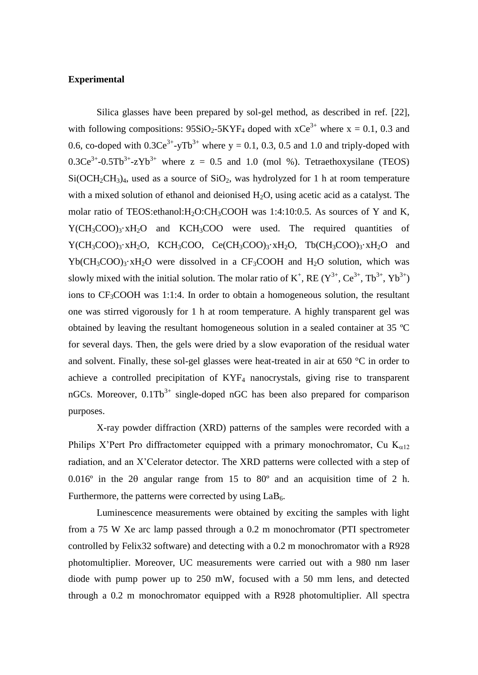#### **Experimental**

Silica glasses have been prepared by sol-gel method, as described in ref. [22], with following compositions:  $95SiO_2-5KYF_4$  doped with  $xCe^{3+}$  where  $x = 0.1, 0.3$  and 0.6, co-doped with  $0.3Ce^{3+}$ -yTb<sup>3+</sup> where y = 0.1, 0.3, 0.5 and 1.0 and triply-doped with  $0.3Ce^{3+}-0.5Tb^{3+}-zYb^{3+}$  where  $z = 0.5$  and 1.0 (mol %). Tetraethoxysilane (TEOS)  $Si(OCH<sub>2</sub>CH<sub>3</sub>)<sub>4</sub>$ , used as a source of  $SiO<sub>2</sub>$ , was hydrolyzed for 1 h at room temperature with a mixed solution of ethanol and deionised  $H_2O$ , using acetic acid as a catalyst. The molar ratio of TEOS:ethanol:H<sub>2</sub>O:CH<sub>3</sub>COOH was 1:4:10:0.5. As sources of Y and K,  $Y(CH_3COO)_3 \cdot xH_2O$  and  $KCH_3COO$  were used. The required quantities of  $Y(CH_3COO)_3 \cdot xH_2O$ ,  $KCH_3COO$ ,  $Ce(CH_3COO)_3 \cdot xH_2O$ ,  $Tb(CH_3COO)_3 \cdot xH_2O$  and  $Yb(CH_3COO)_3 \cdot xH_2O$  were dissolved in a CF<sub>3</sub>COOH and H<sub>2</sub>O solution, which was slowly mixed with the initial solution. The molar ratio of  $K^+$ , RE  $(Y^{3+}$ , Ce<sup>3+</sup>, Tb<sup>3+</sup>, Yb<sup>3+</sup>) ions to  $CF_3COOH$  was 1:1:4. In order to obtain a homogeneous solution, the resultant one was stirred vigorously for 1 h at room temperature. A highly transparent gel was obtained by leaving the resultant homogeneous solution in a sealed container at 35 ºC for several days. Then, the gels were dried by a slow evaporation of the residual water and solvent. Finally, these sol-gel glasses were heat-treated in air at 650 °C in order to achieve a controlled precipitation of KYF<sup>4</sup> nanocrystals, giving rise to transparent nGCs. Moreover,  $0.1Tb^{3+}$  single-doped nGC has been also prepared for comparison purposes.

X-ray powder diffraction (XRD) patterns of the samples were recorded with a Philips X'Pert Pro diffractometer equipped with a primary monochromator, Cu  $K_{\alpha 12}$ radiation, and an X'Celerator detector. The XRD patterns were collected with a step of 0.016 $\degree$  in the 20 angular range from 15 to 80 $\degree$  and an acquisition time of 2 h. Furthermore, the patterns were corrected by using  $LaB<sub>6</sub>$ .

Luminescence measurements were obtained by exciting the samples with light from a 75 W Xe arc lamp passed through a 0.2 m monochromator (PTI spectrometer controlled by Felix32 software) and detecting with a 0.2 m monochromator with a R928 photomultiplier. Moreover, UC measurements were carried out with a 980 nm laser diode with pump power up to 250 mW, focused with a 50 mm lens, and detected through a 0.2 m monochromator equipped with a R928 photomultiplier. All spectra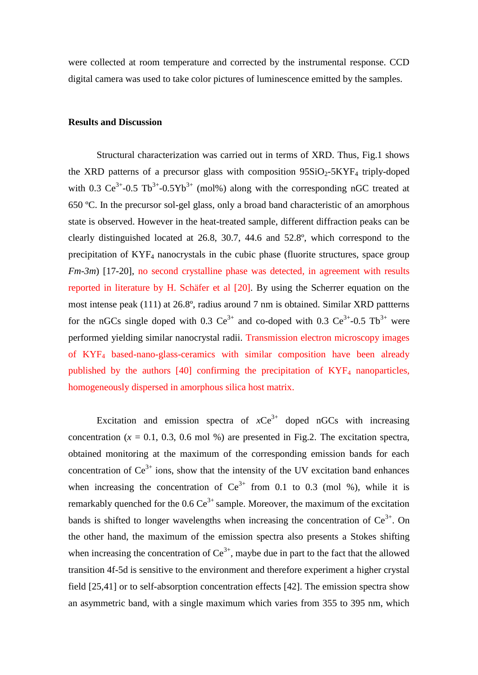were collected at room temperature and corrected by the instrumental response. CCD digital camera was used to take color pictures of luminescence emitted by the samples.

#### **Results and Discussion**

Structural characterization was carried out in terms of XRD. Thus, Fig.1 shows the XRD patterns of a precursor glass with composition  $95SiO<sub>2</sub>-5KYF<sub>4</sub>$  triply-doped with 0.3  $Ce^{3+}-0.5 Tb^{3+}-0.5Yb^{3+}$  (mol%) along with the corresponding nGC treated at 650 ºC. In the precursor sol-gel glass, only a broad band characteristic of an amorphous state is observed. However in the heat-treated sample, different diffraction peaks can be clearly distinguished located at 26.8, 30.7, 44.6 and 52.8º, which correspond to the precipitation of KYF<sup>4</sup> nanocrystals in the cubic phase (fluorite structures, space group *Fm-3m*) [17-20], no second crystalline phase was detected, in agreement with results reported in literature by H. Schäfer et al [20]. By using the Scherrer equation on the most intense peak (111) at 26.8º, radius around 7 nm is obtained. Similar XRD pattterns for the nGCs single doped with 0.3  $Ce^{3+}$  and co-doped with 0.3  $Ce^{3+}$ -0.5 Tb<sup>3+</sup> were performed yielding similar nanocrystal radii. Transmission electron microscopy images of KYF<sup>4</sup> based-nano-glass-ceramics with similar composition have been already published by the authors  $[40]$  confirming the precipitation of  $KYF<sub>4</sub>$  nanoparticles, homogeneously dispersed in amorphous silica host matrix.

Excitation and emission spectra of  $xCe^{3+}$  doped nGCs with increasing concentration  $(x = 0.1, 0.3, 0.6 \text{ mol } \%)$  are presented in Fig.2. The excitation spectra, obtained monitoring at the maximum of the corresponding emission bands for each concentration of  $Ce^{3+}$  ions, show that the intensity of the UV excitation band enhances when increasing the concentration of  $Ce^{3+}$  from 0.1 to 0.3 (mol %), while it is remarkably quenched for the  $0.6 \text{ Ce}^{3+}$  sample. Moreover, the maximum of the excitation bands is shifted to longer wavelengths when increasing the concentration of  $Ce^{3+}$ . On the other hand, the maximum of the emission spectra also presents a Stokes shifting when increasing the concentration of  $Ce^{3+}$ , maybe due in part to the fact that the allowed transition 4f-5d is sensitive to the environment and therefore experiment a higher crystal field [25,41] or to self-absorption concentration effects [42]. The emission spectra show an asymmetric band, with a single maximum which varies from 355 to 395 nm, which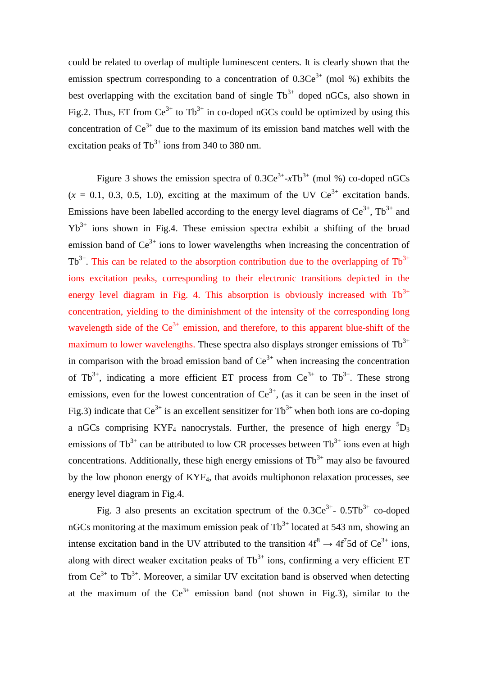could be related to overlap of multiple luminescent centers. It is clearly shown that the emission spectrum corresponding to a concentration of  $0.3Ce^{3+}$  (mol %) exhibits the best overlapping with the excitation band of single  $Tb^{3+}$  doped nGCs, also shown in Fig.2. Thus, ET from  $Ce^{3+}$  to Tb<sup>3+</sup> in co-doped nGCs could be optimized by using this concentration of  $Ce^{3+}$  due to the maximum of its emission band matches well with the excitation peaks of  $Tb^{3+}$  ions from 340 to 380 nm.

Figure 3 shows the emission spectra of  $0.3Ce^{3+}$ - $xTb^{3+}$  (mol %) co-doped nGCs  $(x = 0.1, 0.3, 0.5, 1.0)$ , exciting at the maximum of the UV  $Ce^{3+}$  excitation bands. Emissions have been labelled according to the energy level diagrams of  $Ce^{3+}$ ,  $Tb^{3+}$  and  $Yb^{3+}$  ions shown in Fig.4. These emission spectra exhibit a shifting of the broad emission band of  $Ce^{3+}$  ions to lower wavelengths when increasing the concentration of  $Tb^{3+}$ . This can be related to the absorption contribution due to the overlapping of  $Tb^{3+}$ ions excitation peaks, corresponding to their electronic transitions depicted in the energy level diagram in Fig. 4. This absorption is obviously increased with  $Tb^{3+}$ concentration, yielding to the diminishment of the intensity of the corresponding long wavelength side of the  $Ce^{3+}$  emission, and therefore, to this apparent blue-shift of the maximum to lower wavelengths. These spectra also displays stronger emissions of  $\text{Tb}^{3+}$ in comparison with the broad emission band of  $Ce^{3+}$  when increasing the concentration of Tb<sup>3+</sup>, indicating a more efficient ET process from  $Ce^{3+}$  to Tb<sup>3+</sup>. These strong emissions, even for the lowest concentration of  $Ce^{3+}$ , (as it can be seen in the inset of Fig.3) indicate that  $Ce^{3+}$  is an excellent sensitizer for  $Tb^{3+}$  when both ions are co-doping a nGCs comprising KYF<sub>4</sub> nanocrystals. Further, the presence of high energy  ${}^{5}D_{3}$ emissions of  $\text{Tb}^{3+}$  can be attributed to low CR processes between  $\text{Tb}^{3+}$  ions even at high concentrations. Additionally, these high energy emissions of  $Tb^{3+}$  may also be favoured by the low phonon energy of KYF4, that avoids multiphonon relaxation processes, see energy level diagram in Fig.4.

Fig. 3 also presents an excitation spectrum of the  $0.3Ce^{3+}$ -  $0.5Tb^{3+}$  co-doped nGCs monitoring at the maximum emission peak of  $Tb^{3+}$  located at 543 nm, showing an intense excitation band in the UV attributed to the transition  $4f^8 \rightarrow 4f^7 5d$  of Ce<sup>3+</sup> ions, along with direct weaker excitation peaks of  $Tb^{3+}$  ions, confirming a very efficient ET from  $Ce^{3+}$  to Tb<sup>3+</sup>. Moreover, a similar UV excitation band is observed when detecting at the maximum of the  $Ce^{3+}$  emission band (not shown in Fig.3), similar to the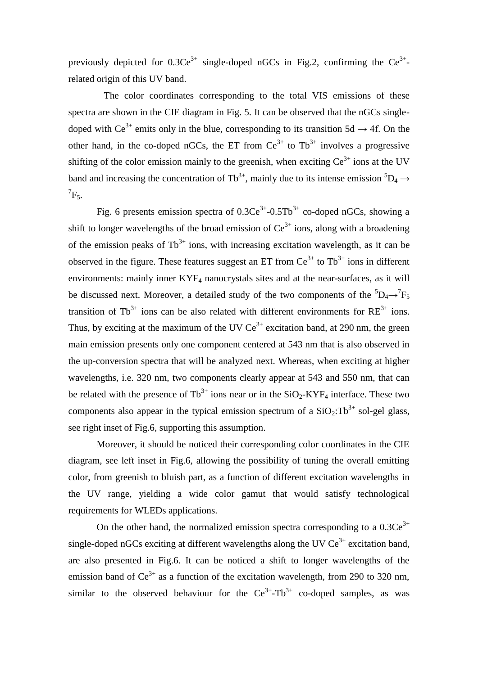previously depicted for  $0.3Ce^{3+}$  single-doped nGCs in Fig.2, confirming the  $Ce^{3+}$ related origin of this UV band.

 The color coordinates corresponding to the total VIS emissions of these spectra are shown in the CIE diagram in Fig. 5. It can be observed that the nGCs singledoped with  $Ce^{3+}$  emits only in the blue, corresponding to its transition 5d  $\rightarrow$  4f. On the other hand, in the co-doped nGCs, the ET from  $Ce^{3+}$  to Tb<sup>3+</sup> involves a progressive shifting of the color emission mainly to the greenish, when exciting  $Ce^{3+}$  ions at the UV band and increasing the concentration of Tb<sup>3+</sup>, mainly due to its intense emission  ${}^5D_4 \rightarrow$  $\mathrm{^{7}F_{5}}$ .

Fig. 6 presents emission spectra of  $0.3Ce^{3+}-0.5Tb^{3+}$  co-doped nGCs, showing a shift to longer wavelengths of the broad emission of  $Ce^{3+}$  ions, along with a broadening of the emission peaks of  $Tb^{3+}$  ions, with increasing excitation wavelength, as it can be observed in the figure. These features suggest an ET from  $Ce^{3+}$  to  $Tb^{3+}$  ions in different environments: mainly inner  $KYF_4$  nanocrystals sites and at the near-surfaces, as it will be discussed next. Moreover, a detailed study of the two components of the  ${}^5D_4 \rightarrow {}^7F_5$ transition of  $Tb^{3+}$  ions can be also related with different environments for  $RE^{3+}$  ions. Thus, by exciting at the maximum of the UV  $Ce^{3+}$  excitation band, at 290 nm, the green main emission presents only one component centered at 543 nm that is also observed in the up-conversion spectra that will be analyzed next. Whereas, when exciting at higher wavelengths, i.e. 320 nm, two components clearly appear at 543 and 550 nm, that can be related with the presence of  $\text{Tb}^{3+}$  ions near or in the SiO<sub>2</sub>-KYF<sub>4</sub> interface. These two components also appear in the typical emission spectrum of a  $SiO_2: Tb^{3+}$  sol-gel glass, see right inset of Fig.6, supporting this assumption.

Moreover, it should be noticed their corresponding color coordinates in the CIE diagram, see left inset in Fig.6, allowing the possibility of tuning the overall emitting color, from greenish to bluish part, as a function of different excitation wavelengths in the UV range, yielding a wide color gamut that would satisfy technological requirements for WLEDs applications.

On the other hand, the normalized emission spectra corresponding to a  $0.3Ce^{3+}$ single-doped nGCs exciting at different wavelengths along the UV  $Ce^{3+}$  excitation band, are also presented in Fig.6. It can be noticed a shift to longer wavelengths of the emission band of  $Ce^{3+}$  as a function of the excitation wavelength, from 290 to 320 nm, similar to the observed behaviour for the  $Ce^{3+}-Tb^{3+}$  co-doped samples, as was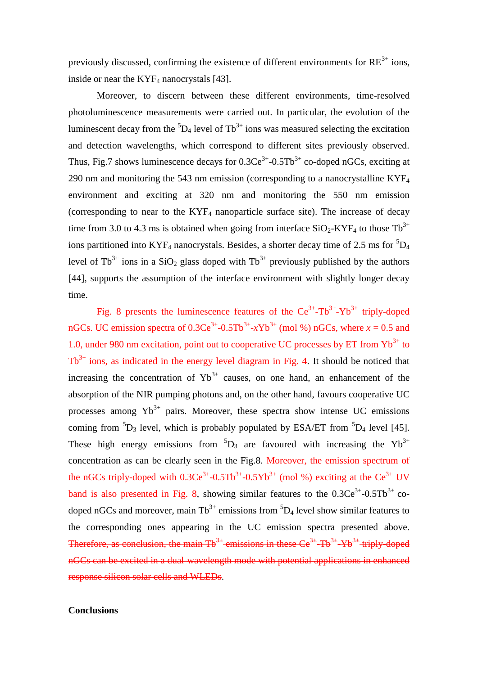previously discussed, confirming the existence of different environments for  $RE^{3+}$  ions, inside or near the  $KYF<sub>4</sub>$  nanocrystals [43].

Moreover, to discern between these different environments, time-resolved photoluminescence measurements were carried out. In particular, the evolution of the luminescent decay from the  ${}^{5}D_4$  level of Tb<sup>3+</sup> ions was measured selecting the excitation and detection wavelengths, which correspond to different sites previously observed. Thus, Fig.7 shows luminescence decays for  $0.3Ce^{3+}$ - $0.5Tb^{3+}$  co-doped nGCs, exciting at 290 nm and monitoring the 543 nm emission (corresponding to a nanocrystalline  $KYF<sub>4</sub>$ ) environment and exciting at 320 nm and monitoring the 550 nm emission (corresponding to near to the  $KYF<sub>4</sub>$  nanoparticle surface site). The increase of decay time from 3.0 to 4.3 ms is obtained when going from interface  $SiO_2$ -KYF<sub>4</sub> to those Tb<sup>3+</sup> ions partitioned into KYF<sub>4</sub> nanocrystals. Besides, a shorter decay time of 2.5 ms for  ${}^{5}D_4$ level of Tb<sup>3+</sup> ions in a SiO<sub>2</sub> glass doped with Tb<sup>3+</sup> previously published by the authors [44], supports the assumption of the interface environment with slightly longer decay time.

Fig. 8 presents the luminescence features of the  $Ce^{3+}-Tb^{3+}-Yb^{3+}$  triply-doped nGCs. UC emission spectra of  $0.3Ce^{3+}-0.5Tb^{3+}-xYb^{3+}$  (mol %) nGCs, where  $x = 0.5$  and 1.0, under 980 nm excitation, point out to cooperative UC processes by ET from  $Yb^{3+}$  to  $Tb^{3+}$  ions, as indicated in the energy level diagram in Fig. 4. It should be noticed that increasing the concentration of  $Yb^{3+}$  causes, on one hand, an enhancement of the absorption of the NIR pumping photons and, on the other hand, favours cooperative UC processes among  $Yb^{3+}$  pairs. Moreover, these spectra show intense UC emissions coming from  ${}^{5}D_3$  level, which is probably populated by ESA/ET from  ${}^{5}D_4$  level [45]. These high energy emissions from  ${}^{5}D_3$  are favoured with increasing the Yb<sup>3+</sup> concentration as can be clearly seen in the Fig.8. Moreover, the emission spectrum of the nGCs triply-doped with  $0.3Ce^{3+}-0.5Tb^{3+}-0.5Yb^{3+}$  (mol %) exciting at the  $Ce^{3+}$  UV band is also presented in Fig. 8, showing similar features to the  $0.3Ce^{3+}$ - $0.5Tb^{3+}$  codoped nGCs and moreover, main  $\text{fb}^{3+}$  emissions from  ${}^5\text{D}_4$  level show similar features to the corresponding ones appearing in the UC emission spectra presented above. Therefore, as conclusion, the main  $Tb^{3+}$  emissions in these  $Ce^{3+}Tb^{3+}Yb^{3+}$  triply-doped nGCs can be excited in a dual-wavelength mode with potential applications in enhanced response silicon solar cells and WLEDs.

# **Conclusions**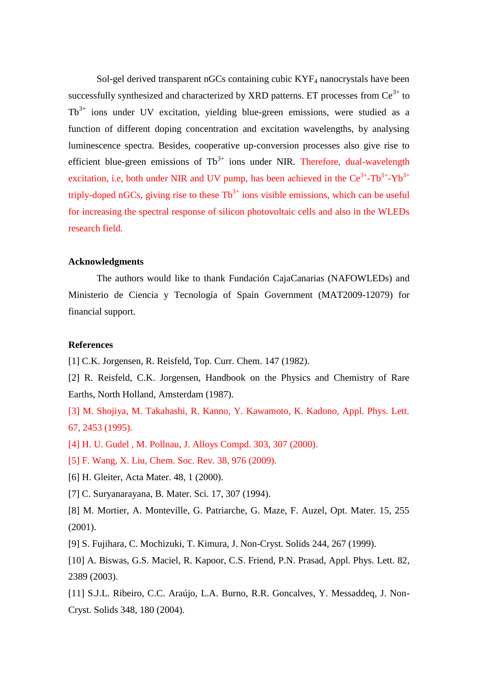Sol-gel derived transparent nGCs containing cubic  $KYF<sub>4</sub>$  nanocrystals have been successfully synthesized and characterized by XRD patterns. ET processes from  $Ce^{3+}$  to  $Tb^{3+}$  ions under UV excitation, vielding blue-green emissions, were studied as a function of different doping concentration and excitation wavelengths, by analysing luminescence spectra. Besides, cooperative up-conversion processes also give rise to efficient blue-green emissions of  $\text{Tb}^{3+}$  ions under NIR. Therefore, dual-wavelength excitation, i.e, both under NIR and UV pump, has been achieved in the  $Ce^{3+}$ -Tb<sup>3+</sup>-Yb<sup>3+</sup> triply-doped nGCs, giving rise to these  $Tb^{3+}$  ions visible emissions, which can be useful for increasing the spectral response of silicon photovoltaic cells and also in the WLEDs research field.

# **Acknowledgments**

The authors would like to thank Fundación CajaCanarias (NAFOWLEDs) and Ministerio de Ciencia y Tecnología of Spain Government (MAT2009-12079) for financial support.

## **References**

[1] C.K. Jorgensen, R. Reisfeld, Top. Curr. Chem. 147 (1982).

[2] R. Reisfeld, C.K. Jorgensen, Handbook on the Physics and Chemistry of Rare Earths, North Holland, Amsterdam (1987).

[3] M. Shojiya, M. Takahashi, R. Kanno, Y. Kawamoto, K. Kadono, Appl. Phys. Lett. 67, 2453 (1995).

- [4] H. U. Gudel , M. Pollnau, J. Alloys Compd. 303, 307 (2000).
- [5] F. Wang, X. Liu, Chem. Soc. Rev. 38, 976 (2009).
- [6] H. Gleiter, Acta Mater. 48, 1 (2000).
- [7] C. Suryanarayana, B. Mater. Sci. 17, 307 (1994).
- [8] M. Mortier, A. Monteville, G. Patriarche, G. Maze, F. Auzel, Opt. Mater. 15, 255 (2001).
- [9] S. Fujihara, C. Mochizuki, T. Kimura, J. Non-Cryst. Solids 244, 267 (1999).
- [10] A. Biswas, G.S. Maciel, R. Kapoor, C.S. Friend, P.N. Prasad, Appl. Phys. Lett. 82, 2389 (2003).
- [11] S.J.L. Ribeiro, C.C. Araújo, L.A. Burno, R.R. Goncalves, Y. Messaddeq, J. Non-Cryst. Solids 348, 180 (2004).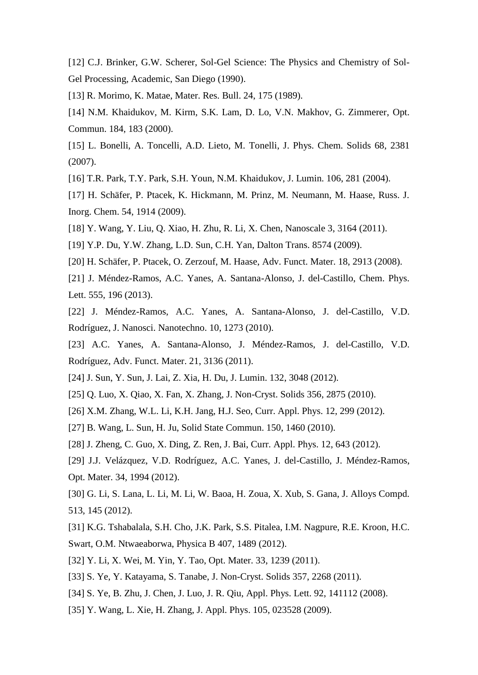[12] C.J. Brinker, G.W. Scherer, Sol-Gel Science: The Physics and Chemistry of Sol-Gel Processing, Academic, San Diego (1990).

[13] R. Morimo, K. Matae, Mater. Res. Bull. 24, 175 (1989).

[14] N.M. Khaidukov, M. Kirm, S.K. Lam, D. Lo, V.N. Makhov, G. Zimmerer, Opt. Commun. 184, 183 (2000).

[15] L. Bonelli, A. Toncelli, A.D. Lieto, M. Tonelli, J. Phys. Chem. Solids 68, 2381 (2007).

[16] T.R. Park, T.Y. Park, S.H. Youn, N.M. Khaidukov, J. Lumin. 106, 281 (2004).

[17] H. Schäfer, P. Ptacek, K. Hickmann, M. Prinz, M. Neumann, M. Haase, Russ. J. Inorg. Chem. 54, 1914 (2009).

[18] Y. Wang, Y. Liu, Q. Xiao, H. Zhu, R. Li, X. Chen, Nanoscale 3, 3164 (2011).

[19] Y.P. Du, Y.W. Zhang, L.D. Sun, C.H. Yan, Dalton Trans. 8574 (2009).

[20] H. Schäfer, P. Ptacek, O. Zerzouf, M. Haase, Adv. Funct. Mater. 18, 2913 (2008).

[21] J. Méndez-Ramos, A.C. Yanes, A. Santana-Alonso, J. del-Castillo, Chem. Phys. Lett. 555, 196 (2013).

[22] J. Méndez-Ramos, A.C. Yanes, A. Santana-Alonso, J. del-Castillo, V.D. Rodríguez, J. Nanosci. Nanotechno. 10, 1273 (2010).

[23] A.C. Yanes, A. Santana-Alonso, J. Méndez-Ramos, J. del-Castillo, V.D. Rodríguez, Adv. Funct. Mater. 21, 3136 (2011).

- [24] J. Sun, Y. Sun, J. Lai, Z. Xia, H. Du, J. Lumin. 132, 3048 (2012).
- [25] Q. Luo, X. Qiao, X. Fan, X. Zhang, J. Non-Cryst. Solids 356, 2875 (2010).
- [26] X.M. Zhang, W.L. Li, K.H. Jang, H.J. Seo, Curr. Appl. Phys. 12, 299 (2012).
- [27] B. Wang, L. Sun, H. Ju, Solid State Commun. 150, 1460 (2010).

[28] J. Zheng, C. Guo, X. Ding, Z. Ren, J. Bai, Curr. Appl. Phys. 12, 643 (2012).

[29] J.J. Velázquez, V.D. Rodríguez, A.C. Yanes, J. del-Castillo, J. Méndez-Ramos, Opt. Mater. 34, 1994 (2012).

[30] G. Li, S. Lana, L. Li, M. Li, W. Baoa, H. Zoua, X. Xub, S. Gana, J. Alloys Compd. 513, 145 (2012).

[31] K.G. Tshabalala, S.H. Cho, J.K. Park, S.S. Pitalea, I.M. Nagpure, R.E. Kroon, H.C. Swart, O.M. Ntwaeaborwa, Physica B 407, 1489 (2012).

[32] Y. Li, X. Wei, M. Yin, Y. Tao, Opt. Mater. 33, 1239 (2011).

[33] S. Ye, Y. Katayama, S. Tanabe, J. Non-Cryst. Solids 357, 2268 (2011).

- [34] S. Ye, B. Zhu, J. Chen, J. Luo, J. R. Qiu, Appl. Phys. Lett. 92, 141112 (2008).
- [35] Y. Wang, L. Xie, H. Zhang, J. Appl. Phys. 105, 023528 (2009).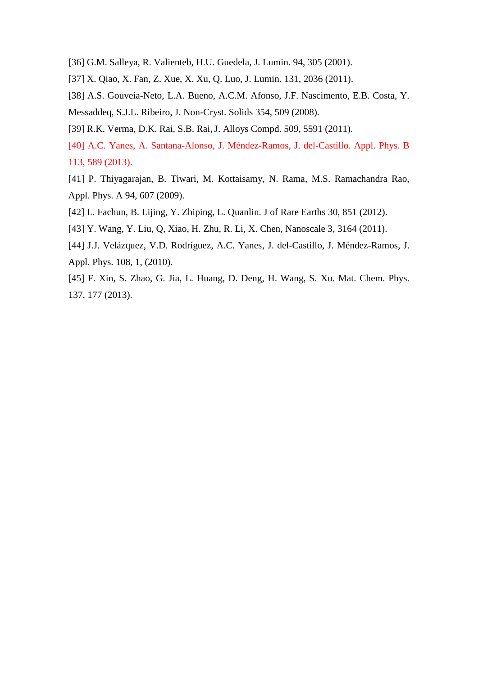- [36] G.M. Salleya, R. Valienteb, H.U. Guedela, J. Lumin. 94, 305 (2001).
- [37] X. Qiao, X. Fan, Z. Xue, X. Xu, Q. Luo, J. Lumin. 131, 2036 (2011).
- [38] A.S. Gouveia-Neto, L.A. Bueno, A.C.M. Afonso, J.F. Nascimento, E.B. Costa, Y. Messaddeq, S.J.L. Ribeiro, J. Non-Cryst. Solids 354, 509 (2008).
- [39] R.K. Verma, D.K. Rai, S.B. Rai, J. Alloys Compd. 509, 5591 (2011).
- [40] A.C. Yanes, A. Santana-Alonso, J. Méndez-Ramos, J. del-Castillo. Appl. Phys. B 113, 589 (2013).
- [41] P. Thiyagarajan, B. Tiwari, M. Kottaisamy, N. Rama, M.S. Ramachandra Rao, Appl. Phys. A 94, 607 (2009).
- [42] L. Fachun, B. Lijing, Y. Zhiping, L. Quanlin. J of Rare Earths 30, 851 (2012).
- [43] Y. Wang, Y. Liu, Q, Xiao, H. Zhu, R. Li, X. Chen, Nanoscale 3, 3164 (2011).
- [44] J.J. Velázquez, V.D. Rodríguez, A.C. Yanes, J. del-Castillo, J. Méndez-Ramos, J. Appl. Phys. 108, 1, (2010).
- [45] F. Xin, S. Zhao, G. Jia, L. Huang, D. Deng, H. Wang, S. Xu. Mat. Chem. Phys. 137, 177 (2013).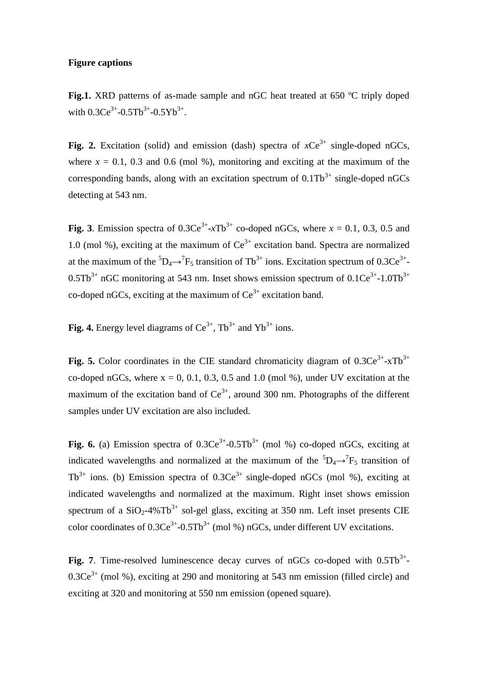#### **Figure captions**

**Fig.1.** XRD patterns of as-made sample and nGC heat treated at 650 °C triply doped with  $0.3Ce^{3+}-0.5Tb^{3+}-0.5Yb^{3+}$ .

**Fig. 2.** Excitation (solid) and emission (dash) spectra of  $xCe^{3+}$  single-doped nGCs, where  $x = 0.1$ , 0.3 and 0.6 (mol %), monitoring and exciting at the maximum of the corresponding bands, along with an excitation spectrum of  $0.1 \text{fb}^{3+}$  single-doped nGCs detecting at 543 nm.

**Fig. 3**. Emission spectra of  $0.3Ce^{3+}$ - $xTb^{3+}$  co-doped nGCs, where  $x = 0.1, 0.3, 0.5$  and 1.0 (mol %), exciting at the maximum of  $Ce^{3+}$  excitation band. Spectra are normalized at the maximum of the  ${}^5D_4 \rightarrow {}^7F_5$  transition of Tb<sup>3+</sup> ions. Excitation spectrum of 0.3Ce<sup>3+</sup>- $0.5$ Tb<sup>3+</sup> nGC monitoring at 543 nm. Inset shows emission spectrum of  $0.1Ce^{3+}-1.0$ Tb<sup>3+</sup> co-doped nGCs, exciting at the maximum of  $Ce^{3+}$  excitation band.

**Fig. 4.** Energy level diagrams of  $Ce^{3+}$ ,  $Tb^{3+}$  and  $Yb^{3+}$  ions.

Fig. 5. Color coordinates in the CIE standard chromaticity diagram of  $0.3Ce^{3+}$ -xTb<sup>3+</sup> co-doped nGCs, where  $x = 0, 0.1, 0.3, 0.5$  and 1.0 (mol %), under UV excitation at the maximum of the excitation band of  $Ce^{3+}$ , around 300 nm. Photographs of the different samples under UV excitation are also included.

**Fig. 6.** (a) Emission spectra of  $0.3Ce^{3+}-0.5Tb^{3+}$  (mol %) co-doped nGCs, exciting at indicated wavelengths and normalized at the maximum of the  ${}^{5}D_{4} \rightarrow {}^{7}F_{5}$  transition of  $Tb^{3+}$  ions. (b) Emission spectra of 0.3Ce<sup>3+</sup> single-doped nGCs (mol %), exciting at indicated wavelengths and normalized at the maximum. Right inset shows emission spectrum of a  $SiO<sub>2</sub>-4\%Tb<sup>3+</sup>$  sol-gel glass, exciting at 350 nm. Left inset presents CIE color coordinates of  $0.3Ce^{3+}$ - $0.5Tb^{3+}$  (mol %) nGCs, under different UV excitations.

Fig. 7. Time-resolved luminescence decay curves of  $nGCs$  co-doped with  $0.5Tb<sup>3+</sup>$ - $0.3Ce<sup>3+</sup>$  (mol %), exciting at 290 and monitoring at 543 nm emission (filled circle) and exciting at 320 and monitoring at 550 nm emission (opened square).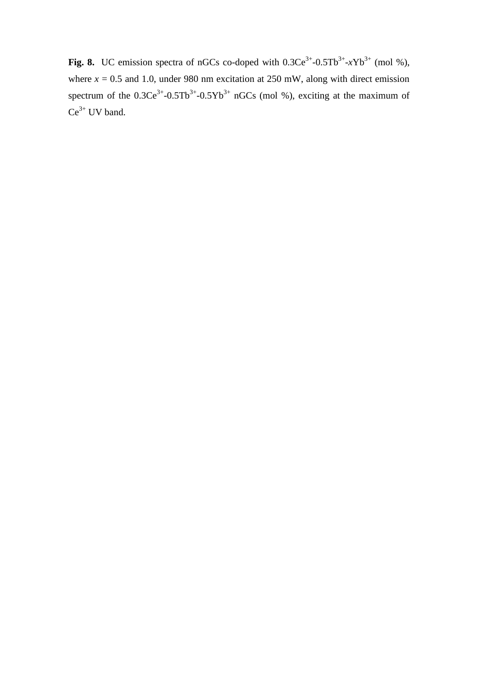**Fig. 8.** UC emission spectra of nGCs co-doped with  $0.3Ce^{3+}-0.5Tb^{3+}-xYb^{3+}$  (mol %), where  $x = 0.5$  and 1.0, under 980 nm excitation at 250 mW, along with direct emission spectrum of the  $0.3Ce^{3+}-0.5Tb^{3+}-0.5Yb^{3+}$  nGCs (mol %), exciting at the maximum of  $Ce^{3+}$  UV band.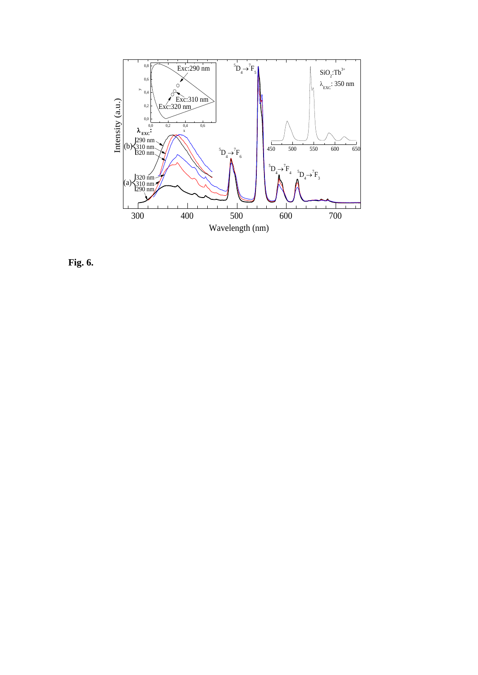

**Fig. 6.**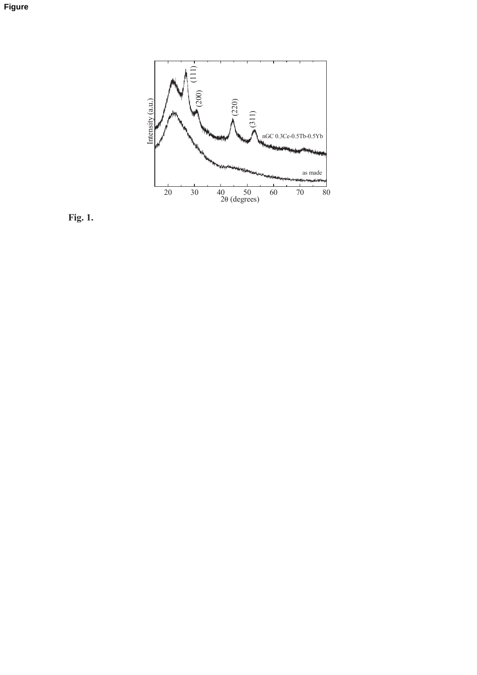

Fig.  $1$ .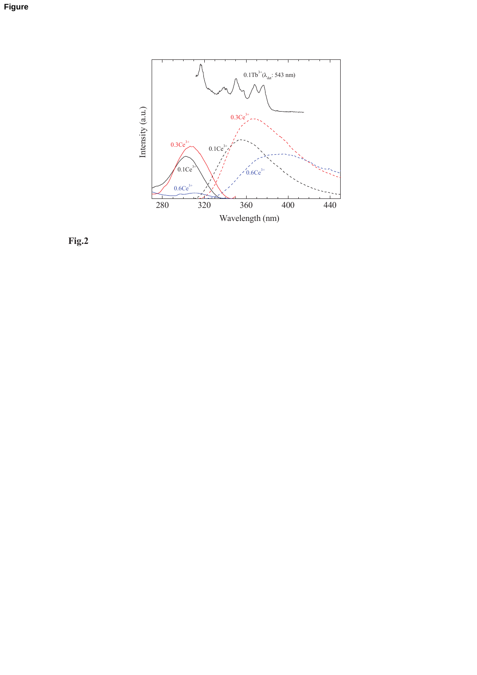Figure



Fig.2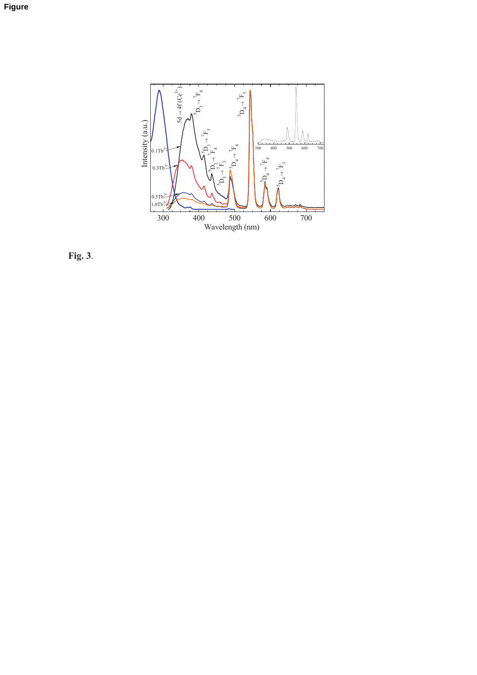

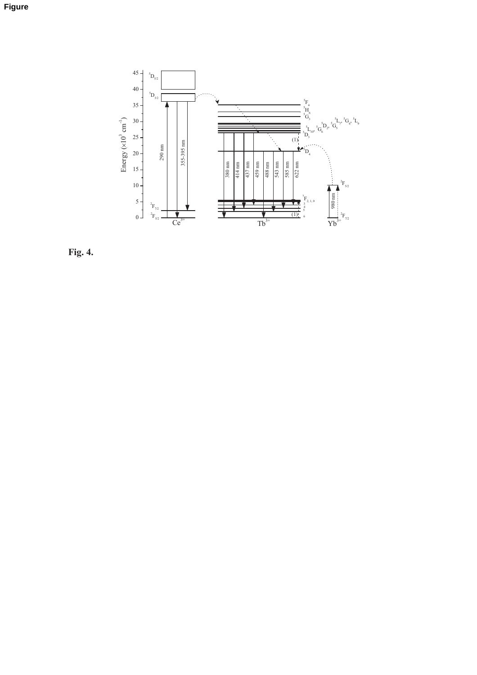

Fig. 4.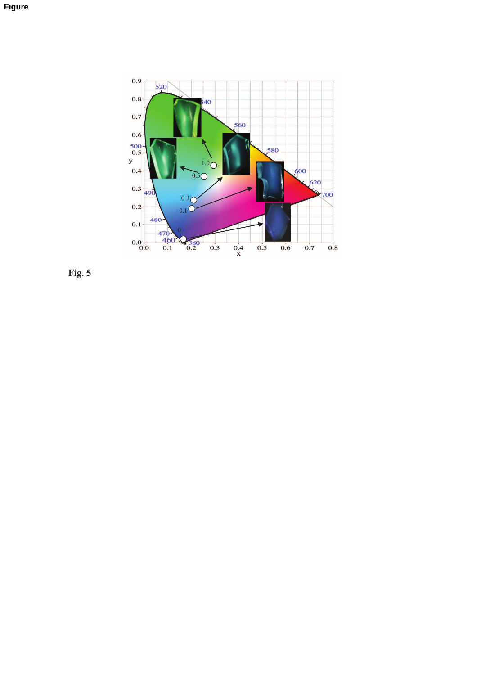

Fig.  $5$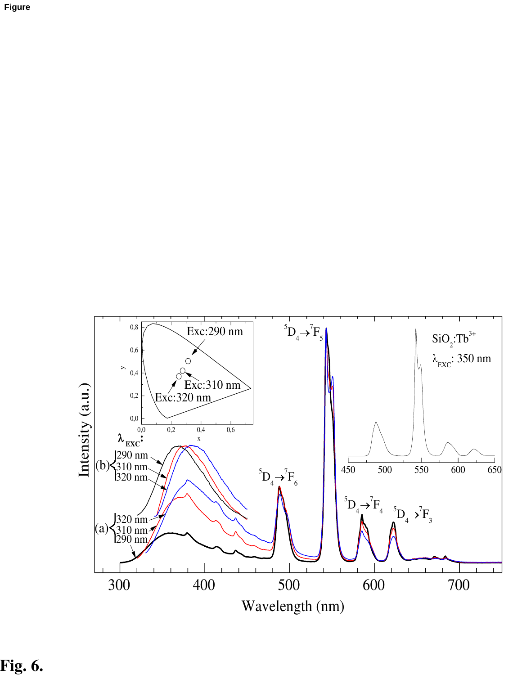



Fig. 6.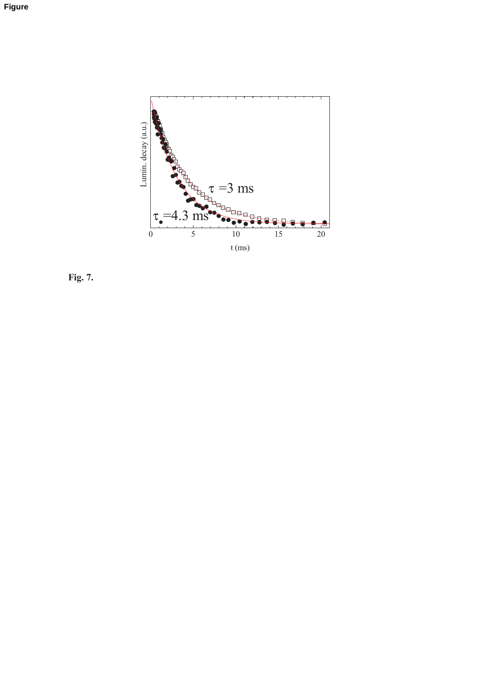

Fig. 7.